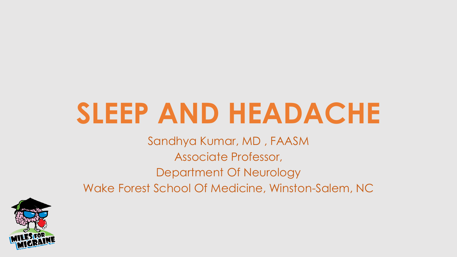# **SLEEP AND HEADACHE**

Sandhya Kumar, MD , FAASM Associate Professor, Department Of Neurology Wake Forest School Of Medicine, Winston-Salem, NC

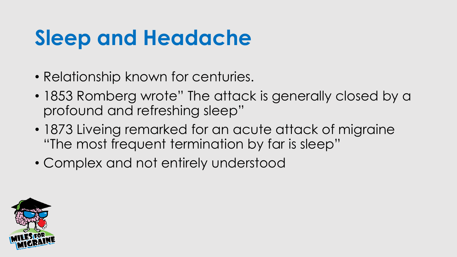## **Sleep and Headache**

- Relationship known for centuries.
- 1853 Romberg wrote" The attack is generally closed by a profound and refreshing sleep"
- 1873 Liveing remarked for an acute attack of migraine "The most frequent termination by far is sleep"
- Complex and not entirely understood

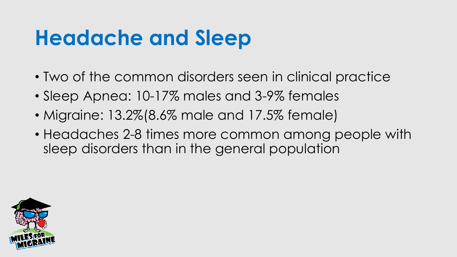## **Headache and Sleep**

- Two of the common disorders seen in clinical practice
- Sleep Apnea: 10-17% males and 3-9% females
- Migraine: 13.2%(8.6% male and 17.5% female)
- Headaches 2-8 times more common among people with sleep disorders than in the general population

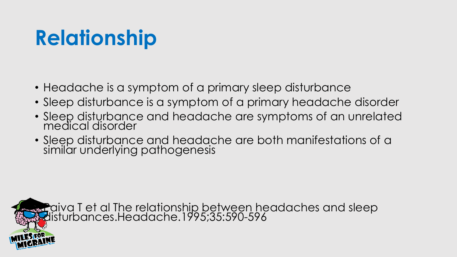## **Relationship**

- Headache is a symptom of a primary sleep disturbance
- Sleep disturbance is a symptom of a primary headache disorder
- Sleep disturbance and headache are symptoms of an unrelated medical disorder
- Sleep disturbance and headache are both manifestations of a similar underlying pathogenesis

**Paiva T et al The relationship between headaches and sleep** disturbances.Headache.1995;35:590-596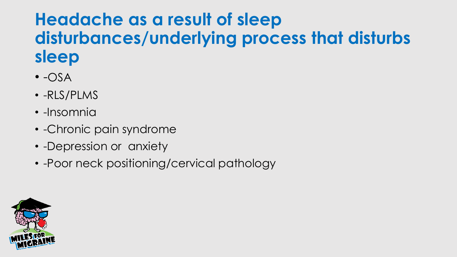## **Headache as a result of sleep disturbances/underlying process that disturbs sleep**

- $\bullet$  -OSA
- -RLS/PLMS
- -Insomnia
- -Chronic pain syndrome
- -Depression or anxiety
- -Poor neck positioning/cervical pathology

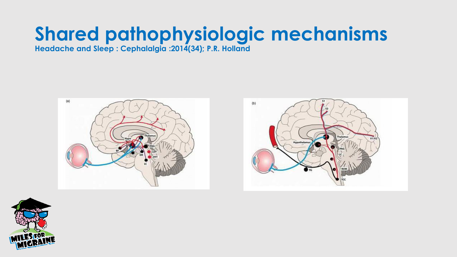## **Shared pathophysiologic mechanisms**

**Headache and Sleep : Cephalalgia :2014(34); P.R. Holland**





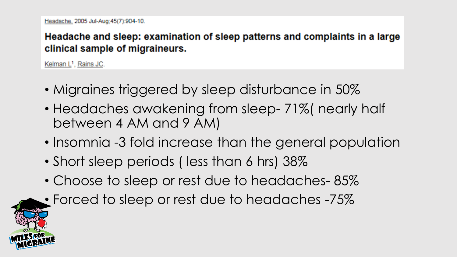### Headache and sleep: examination of sleep patterns and complaints in a large clinical sample of migraineurs.

Kelman L<sup>1</sup>, Rains JC.

- Migraines triggered by sleep disturbance in 50%
- Headaches awakening from sleep- 71% nearly half between 4 AM and 9 AM)
- Insomnia -3 fold increase than the general population
- Short sleep periods ( less than 6 hrs) 38%
- Choose to sleep or rest due to headaches- 85%
- Forced to sleep or rest due to headaches -75%

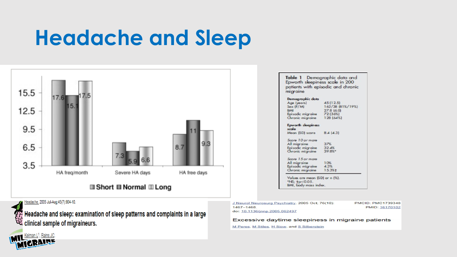## **Headache and Sleep**



**■ Short ■ Normal ■ Long** 

Headache, 2005 Jul-Aug; 45(7): 904-10.

Kelman I

Headache and sleep: examination of sleep patterns and complaints in a large clinical sample of migraineurs.

| migraine                           | Epworth sleepiness scale in 200<br>patients with episodic and chronic |
|------------------------------------|-----------------------------------------------------------------------|
| Demographic data                   |                                                                       |
| Age (years)                        | 45(12.5)                                                              |
| Sex (F/M)                          | 162/38 (81%/19%)                                                      |
| <b>BMI</b>                         | 27.8 (6.0)                                                            |
| Episodic migraine                  | 72 (36%)                                                              |
| Chronic migraine                   | 128 (64%)                                                             |
| <b>Epworth sleepiness</b><br>scale |                                                                       |
| Mean (SD) score                    | 8.4(4.3)                                                              |
| Score 10 or more                   |                                                                       |
| All migraine                       | 37%                                                                   |
| Episodic migraine                  | 32.4%                                                                 |
| Chronic migraine                   | $39.8%$ *                                                             |
| Score 15 or more                   |                                                                       |
| All migraine                       | 10%                                                                   |
| Episodic migraine                  | 4.3%                                                                  |
| Chronic migraine                   | 15.3%                                                                 |

J Neurol Neurosurg Psychiatry. 2005 Oct; 76(10): 1467-1468 doi: 10.1136/jnnp.2005.062497

**PMCID: PMC1739348** PMID: 16170102

#### Excessive daytime sleepiness in migraine patients

M Peres, M Stiles, H Siow, and S Silberstein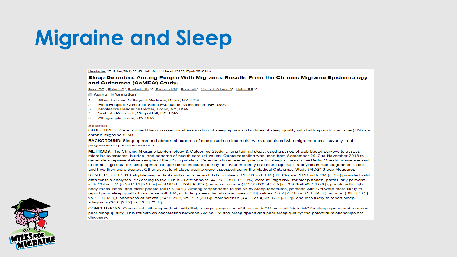## **Migraine and Sleep**

Headache, 2019 Jan:59(1):32-45, doi: 10.1111/head.13435. Epub 2018 Nov 1.

#### Sleep Disorders Among People With Migraine: Results From the Chronic Migraine Epidemiology and Outcomes (CaMEO) Study.

Buse DC<sup>1</sup>, Rains JC<sup>2</sup>, Pavlovic JM<sup>1,3</sup>, Fanning KM<sup>4</sup>, Reed ML<sup>4</sup>, Manack Adams A<sup>5</sup>, Lipton RB<sup>1,3</sup>,

#### $\equiv$  Author information

- Albert Einstein College of Medicine, Bronx, NY, USA.  $\blacktriangleleft$
- $\mathcal{D}$ Elliot Hospital, Center for Sleep Evaluation, Manchester, NH, USA.
- 3 Montefiore Headache Center, Bronx, NY, USA.
- $\boldsymbol{\Delta}$ Vedanta Research, Chapel Hill, NC, USA.
- 5 Allergan plc, Irvine, CA, USA.

#### **Abstract**

OBJECTIVES: We examined the cross-sectional association of sleep apnea and indices of sleep quality with both episodic migraine (EM) and chronic migraine (CM).

BACKGROUND: Sleep apnea and abnormal patterns of sleep, such as insomnia, were associated with migraine onset, severity, and progression in previous research.

METHODS: The Chronic Migraine Epidemiology & Outcomes Study, a longitudinal study, used a series of web-based surveys to assess migraine symptoms, burden, and patterns of health care utilization. Quota sampling was used from September 2012 to November 2013 to generate a representative sample of the US population. Persons who screened positive for sleep apnea on the Berlin Questionnaire are said to be at "high risk" for sleep apnea. Respondents indicated if they believed that they had sleep apnea, if a physician had diagnosed it, and if and how they were treated. Other aspects of sleep quality were assessed using the Medical Outcomes Study (MOS) Sleep Measures.

RESULTS: Of 12,810 eligible respondents with migraine and data on sleep, 11,699 with EM (91.3%) and 1111 with CM (8.7%) provided valid data for this analyses. According to the Berlin Questionnaire, 4739/12,810 (37.0%) were at "high risk" for sleep apnea, particularly persons with CM vs EM (575/1111 [51.8%] vs 4164/11,699 [35.6%]), men vs women (1431/3220 [44.4%] vs 3308/9590 [34.5%]), people with higher body mass index, and older people (all P < .001). Among respondents to the MOS Sleep Measures, persons with CM were more likely to report poor sleep quality than those with EM, including sleep disturbance (mean [SD] values: 53.2 [26.9] vs 37.9 [24.3]), snoring (38.0 [33.9] vs 31.0 [32.1]), shortness of breath (34.9 [29.8] vs 15.3 [20.6]), somnolence (44.1 [23.4] vs 32.2 [21.2]), and less likely to report sleep adequacy (34.0 [24.2] vs 39.2 [22.1]).

CONCLUSIONS: Compared with respondents with EM, a larger proportion of those with CM were at "high risk" for sleep apnea and reported poor sleep quality. This reflects an association between CM vs EM and sleep apnea and poor sleep quality; the potential relationships are discussed.

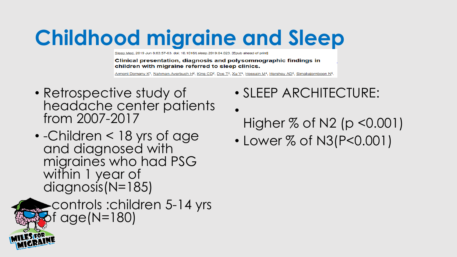## **Childhood migraine and Sleep**

Sleep Med. 2019 Jun 8;63:57-63. doi: 10.1016/j.sleep.2019.04.023. [Epub ahead of print]

Clinical presentation, diagnosis and polysomnographic findings in children with migraine referred to sleep clinics.

Armoni Domany K<sup>1</sup>, Nahman-Averbuch H<sup>2</sup>, King CD<sup>2</sup>, Dye T<sup>3</sup>, Xu Y<sup>4</sup>, Hossain M<sup>4</sup>, Hershey AD<sup>5</sup>, Simakajomboon N<sup>6</sup>.

- Retrospective study of headache center patients from 2007-2017
- -Children < 18 yrs of age and diagnosed with migraines who had PSG within 1 year of diagnosis(N=185)
	- - controls :children 5-14 yrs  $\phi$ f age(N=180)

• SLEEP ARCHITECTURE:

•

- Higher % of N2 (p <0.001)
- Lower % of N3(P<0.001)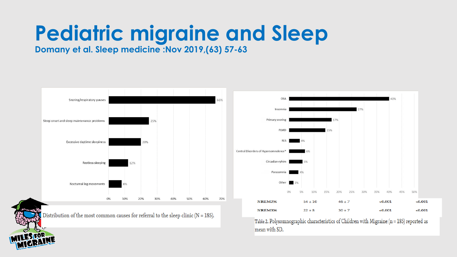# **Pediatric migraine and Sleep**

### **Domany et al. Sleep medicine :Nov 2019,(63) 57-63**

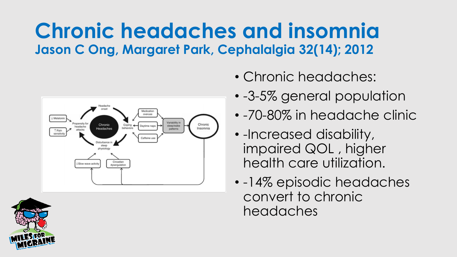## **Chronic headaches and insomnia Jason C Ong, Margaret Park, Cephalalgia 32(14); 2012**





- -3-5% general population
- -70-80% in headache clinic
- -Increased disability, impaired QOL , higher health care utilization.
- -14% episodic headaches convert to chronic headaches

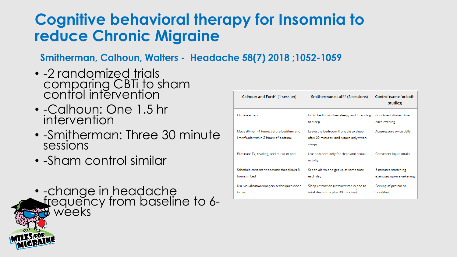## **Cognitive behavioral therapy for Insomnia to reduce Chronic Migraine**

### **Smitherman, Calhoun, Walters - Headache 58(7) 2018 ;1052-1059**

- -2 randomized trials comparing CBTi to sham control intervention
- -Calhoun: One 1.5 hr intervention
- -Smitherman: Three 30 minute sessions
- -Sham control similar
- -change in headache frequency from baseline to 6weeks

| Calhoun and Ford <sup>21</sup> (1 session)                                        | Smitherman et al22 (3 sessions)                                                          | Control (same for both<br>studies)               |
|-----------------------------------------------------------------------------------|------------------------------------------------------------------------------------------|--------------------------------------------------|
| Eliminate naps                                                                    | Go to bed only when sleepy and intending<br>to sleep                                     | Consistent dinner time<br>each evening           |
| Move dinner ≥4 hours before bedtime and<br>limit fluids within 2 hours of bedtime | Leave the bedroom if unable to sleep<br>after 20 minutes, and return only when<br>sleepy | Acupressure twice daily                          |
| Eliminate TV, reading, and music in bed                                           | Use bedroom only for sleep and sexual<br>activity                                        | Consistent liquid intake                         |
| Schedule consistent bedtime that allows 8<br>hours in bed                         | Set an alarm and get up at same time<br>each day                                         | 5 minutes stretching<br>exercises upon awakening |
| Use visualization/imagery techniques when<br>in bed                               | Sleep restriction (restrict time in bed to<br>total sleep time plus 30 minutes)          | Serving of protein at<br>breakfast               |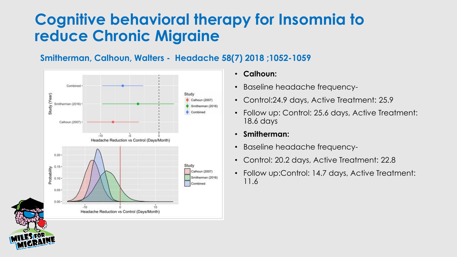### **Cognitive behavioral therapy for Insomnia to reduce Chronic Migraine**

### **Smitherman, Calhoun, Walters - Headache 58(7) 2018 ;1052-1059**



• **Calhoun:** 

- Baseline headache frequency-
- Control:24.9 days, Active Treatment: 25.9
- Follow up: Control: 25.6 days, Active Treatment: 18.6 days
- **Smitherman:**
- Baseline headache frequency-
- Control: 20.2 days, Active Treatment: 22.8
- Follow up: Control: 14.7 days, Active Treatment: 11.6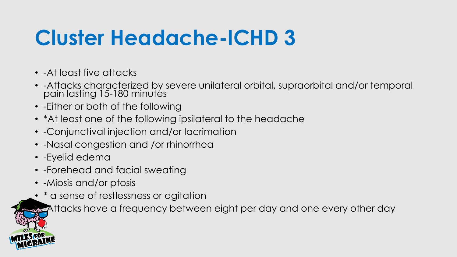## **Cluster Headache-ICHD 3**

- -At least five attacks
- -Attacks characterized by severe unilateral orbital, supraorbital and/or temporal pain lasting 15-180 minutes
- -Either or both of the following
- \*At least one of the following ipsilateral to the headache
- -Conjunctival injection and/or lacrimation
- -Nasal congestion and /or rhinorrhea
- -Eyelid edema
- -Forehead and facial sweating
- -Miosis and/or ptosis
- \* a sense of restlessness or agitation
- **•••••** Attacks have a frequency between eight per day and one every other day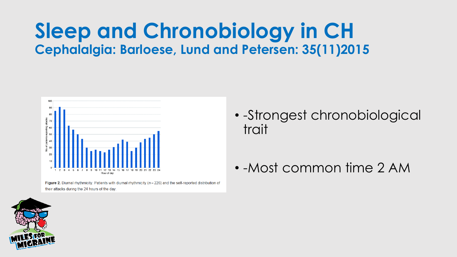## **Sleep and Chronobiology in CH Cephalalgia: Barloese, Lund and Petersen: 35(11)2015**



**Figure 2.** Diurnal rhythmicity. Patients with diurnal rhythmicity ( $n = 226$ ) and the self-reported distribution of their attacks during the 24 hours of the day

- -Strongest chronobiological trait
- -Most common time 2 AM

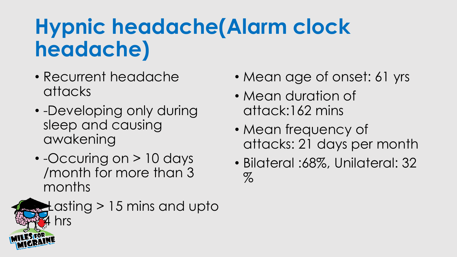## **Hypnic headache(Alarm clock headache)**

- Recurrent headache attacks
- -Developing only during sleep and causing awakening
- -Occuring on > 10 days /month for more than 3 months
- $\pm$ asting > 15 mins and upto hrs
- Mean age of onset: 61 yrs
- Mean duration of attack:162 mins
- Mean frequency of attacks: 21 days per month
- Bilateral :68%, Unilateral: 32  $\%$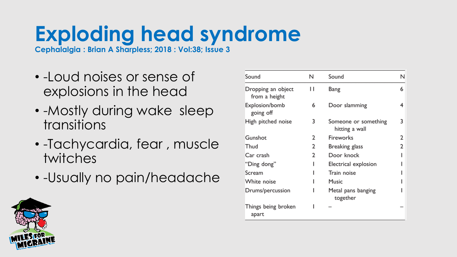# **Exploding head syndrome**

**Cephalalgia : Brian A Sharpless; 2018 : Vol:38; Issue 3**

- -Loud noises or sense of explosions in the head
- -Mostly during wake sleep transitions
- -Tachycardia, fear , muscle twitches
- -Usually no pain/headache

| Sound                               | N | Sound                                  | Ν |
|-------------------------------------|---|----------------------------------------|---|
| Dropping an object<br>from a height | Н | Bang                                   | 6 |
| Explosion/bomb<br>going off         | 6 | Door slamming                          | 4 |
| High pitched noise                  | 3 | Someone or something<br>hitting a wall | 3 |
| Gunshot                             | 2 | Fireworks                              | 2 |
| Thud                                | 2 | Breaking glass                         | 2 |
| Car crash                           | 2 | Door knock                             |   |
| "Ding dong"                         |   | Electrical explosion                   |   |
| Scream                              |   | Train noise                            |   |
| White noise                         |   | Music                                  |   |
| Drums/percussion                    |   | Metal pans banging<br>together         |   |
| Things being broken<br>apart        |   |                                        |   |

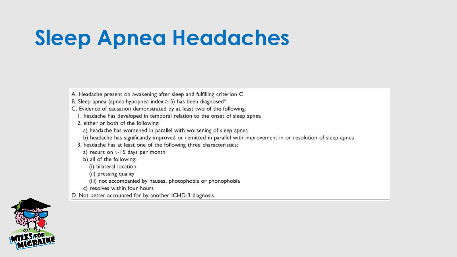## **Sleep Apnea Headaches**

- A. Headache present on awakening after sleep and fulfilling criterion C
- B. Sleep apnea (apnea-hypopnea index  $\geq$  5) has been diagnosed<sup>a</sup>
- C. Evidence of causation demonstrated by at least two of the following:
	- I. headache has developed in temporal relation to the onset of sleep apnea
	- 2. either or both of the following:
		- a) headache has worsened in parallel with worsening of sleep apnea
		- b) headache has significantly improved or remitted in parallel with improvement in or resolution of sleep apnea
	- 3. headache has at least one of the following three characteristics:
		- a) recurs on  $>15$  days per month
		- b) all of the following:
			- (i) bilateral location
			- (ii) pressing quality
			- (iii) not accompanied by nausea, photophobia or phonophobia
		- c) resolves within four hours
- D. Not better accounted for by another ICHD-3 diagnosis.

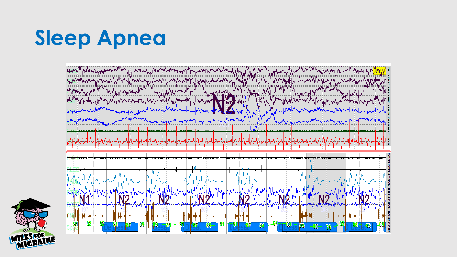



## **Sleep Apnea**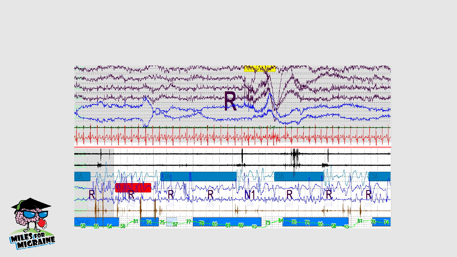

where you want of the



A WATER TELEVISION AND CONTRACTOR photo of holimation agrammy why way la wata jin jimuwane W Knysklepper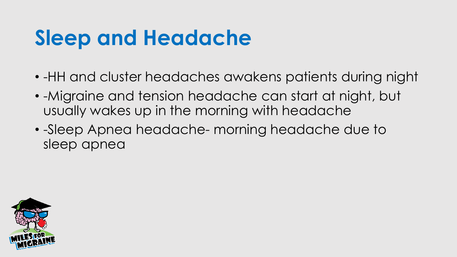## **Sleep and Headache**

- -HH and cluster headaches awakens patients during night
- -Migraine and tension headache can start at night, but usually wakes up in the morning with headache
- -Sleep Apnea headache- morning headache due to sleep apnea

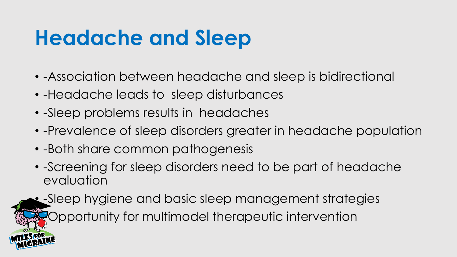## **Headache and Sleep**

- -Association between headache and sleep is bidirectional
- -Headache leads to sleep disturbances
- -Sleep problems results in headaches
- -Prevalence of sleep disorders greater in headache population
- -Both share common pathogenesis
- -Screening for sleep disorders need to be part of headache evaluation
- -Sleep hygiene and basic sleep management strategies Opportunity for multimodel therapeutic intervention